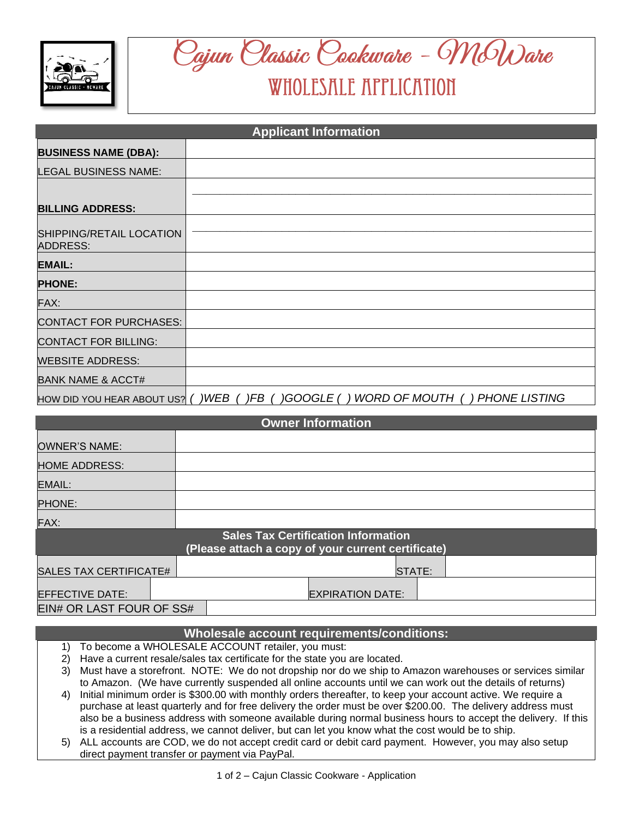

## Oajun Olassic Oookware - McWare WHOLESALE APPLICATION

| <b>Applicant Information</b>                |                                                                                    |  |  |  |
|---------------------------------------------|------------------------------------------------------------------------------------|--|--|--|
| <b>BUSINESS NAME (DBA):</b>                 |                                                                                    |  |  |  |
| <b>LEGAL BUSINESS NAME:</b>                 |                                                                                    |  |  |  |
|                                             |                                                                                    |  |  |  |
| <b>BILLING ADDRESS:</b>                     |                                                                                    |  |  |  |
| SHIPPING/RETAIL LOCATION<br><b>ADDRESS:</b> |                                                                                    |  |  |  |
| <b>EMAIL:</b>                               |                                                                                    |  |  |  |
| <b>PHONE:</b>                               |                                                                                    |  |  |  |
| FAX:                                        |                                                                                    |  |  |  |
| <b>CONTACT FOR PURCHASES:</b>               |                                                                                    |  |  |  |
| <b>CONTACT FOR BILLING:</b>                 |                                                                                    |  |  |  |
| <b>WEBSITE ADDRESS:</b>                     |                                                                                    |  |  |  |
| <b>BANK NAME &amp; ACCT#</b>                |                                                                                    |  |  |  |
|                                             | HOW DID YOU HEAR ABOUT US? () WEB ()FB () GOOGLE () WORD OF MOUTH () PHONE LISTING |  |  |  |

| <b>Owner Information</b>                                                                         |  |                         |  |  |  |
|--------------------------------------------------------------------------------------------------|--|-------------------------|--|--|--|
| <b>OWNER'S NAME:</b>                                                                             |  |                         |  |  |  |
| <b>HOME ADDRESS:</b>                                                                             |  |                         |  |  |  |
| <b>EMAIL:</b>                                                                                    |  |                         |  |  |  |
| <b>PHONE:</b>                                                                                    |  |                         |  |  |  |
| FAX:                                                                                             |  |                         |  |  |  |
| <b>Sales Tax Certification Information</b><br>(Please attach a copy of your current certificate) |  |                         |  |  |  |
| <b>SALES TAX CERTIFICATE#</b>                                                                    |  | STATE:                  |  |  |  |
| <b>EFFECTIVE DATE:</b>                                                                           |  | <b>EXPIRATION DATE:</b> |  |  |  |
| EIN# OR LAST FOUR OF SS#                                                                         |  |                         |  |  |  |

## **Wholesale account requirements/conditions:**

- 1) To become a WHOLESALE ACCOUNT retailer, you must:
- 2) Have a current resale/sales tax certificate for the state you are located.
- 3) Must have a storefront. NOTE: We do not dropship nor do we ship to Amazon warehouses or services similar to Amazon. (We have currently suspended all online accounts until we can work out the details of returns)
- 4) Initial minimum order is \$300.00 with monthly orders thereafter, to keep your account active. We require a purchase at least quarterly and for free delivery the order must be over \$200.00. The delivery address must also be a business address with someone available during normal business hours to accept the delivery. If this is a residential address, we cannot deliver, but can let you know what the cost would be to ship.
- 5) ALL accounts are COD, we do not accept credit card or debit card payment. However, you may also setup direct payment transfer or payment via PayPal.